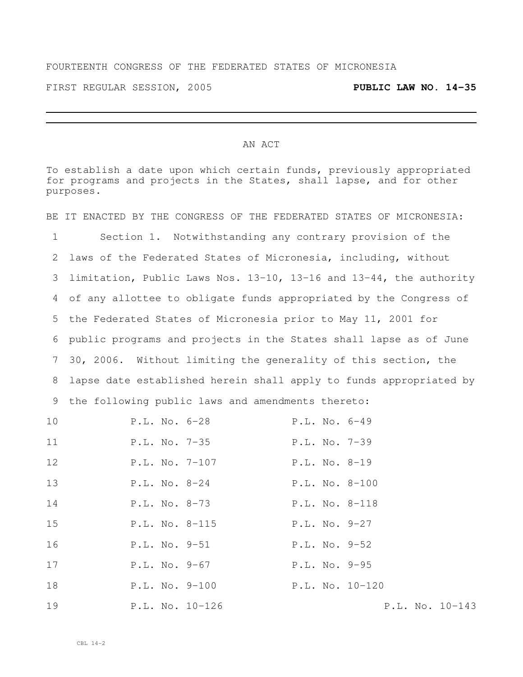## FOURTEENTH CONGRESS OF THE FEDERATED STATES OF MICRONESIA

FIRST REGULAR SESSION, 2005 **PUBLIC LAW NO. 14-35**

## AN ACT

To establish a date upon which certain funds, previously appropriated for programs and projects in the States, shall lapse, and for other purposes.

BE IT ENACTED BY THE CONGRESS OF THE FEDERATED STATES OF MICRONESIA: Section 1. Notwithstanding any contrary provision of the laws of the Federated States of Micronesia, including, without limitation, Public Laws Nos. 13-10, 13-16 and 13-44, the authority of any allottee to obligate funds appropriated by the Congress of the Federated States of Micronesia prior to May 11, 2001 for public programs and projects in the States shall lapse as of June 30, 2006. Without limiting the generality of this section, the lapse date established herein shall apply to funds appropriated by the following public laws and amendments thereto:

| 10 | P.L. No. 6-28   | P.L. No. 6-49     |
|----|-----------------|-------------------|
| 11 | P.L. No. 7-35   | P.L. No. 7-39     |
| 12 | P.L. No. 7-107  | $P.L. No. 8-19$   |
| 13 | P.L. No. 8-24   | P.L. No. 8-100    |
| 14 | P.L. No. 8-73   | P.L. No. 8-118    |
| 15 | P.L. No. 8-115  | P.L. No. 9-27     |
| 16 | P.L. No. 9-51   | P.L. No. 9-52     |
| 17 | P.L. No. 9-67   | P.L. No. 9-95     |
| 18 | P.L. No. 9-100  | P.L. No. 10-120   |
| 19 | P.L. No. 10-126 | $P.L. No. 10-143$ |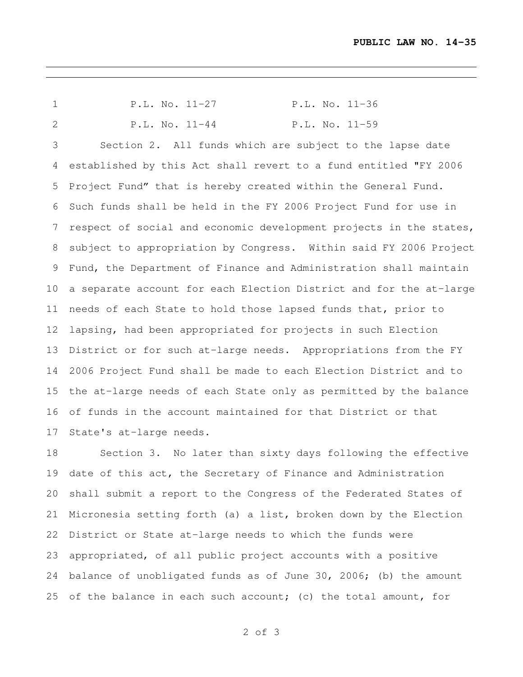| $\mathbf 1$       | $P.L. No. 11-27$                                                   | P.L. No. 11-36 |
|-------------------|--------------------------------------------------------------------|----------------|
| 2                 | $P.L. No. 11-44$                                                   | P.L. No. 11-59 |
| 3                 | Section 2. All funds which are subject to the lapse date           |                |
| 4                 | established by this Act shall revert to a fund entitled "FY 2006   |                |
| 5                 | Project Fund" that is hereby created within the General Fund.      |                |
| 6                 | Such funds shall be held in the FY 2006 Project Fund for use in    |                |
| 7                 | respect of social and economic development projects in the states, |                |
| 8                 | subject to appropriation by Congress. Within said FY 2006 Project  |                |
| 9                 | Fund, the Department of Finance and Administration shall maintain  |                |
| 10 <sup>°</sup>   | a separate account for each Election District and for the at-large |                |
| 11                | needs of each State to hold those lapsed funds that, prior to      |                |
| $12 \overline{ }$ | lapsing, had been appropriated for projects in such Election       |                |
| 13                | District or for such at-large needs. Appropriations from the FY    |                |
| 14                | 2006 Project Fund shall be made to each Election District and to   |                |
| 15                | the at-large needs of each State only as permitted by the balance  |                |
| 16                | of funds in the account maintained for that District or that       |                |
| 17                | State's at-large needs.                                            |                |

 Section 3. No later than sixty days following the effective date of this act, the Secretary of Finance and Administration shall submit a report to the Congress of the Federated States of Micronesia setting forth (a) a list, broken down by the Election District or State at-large needs to which the funds were appropriated, of all public project accounts with a positive balance of unobligated funds as of June 30, 2006; (b) the amount of the balance in each such account; (c) the total amount, for

of 3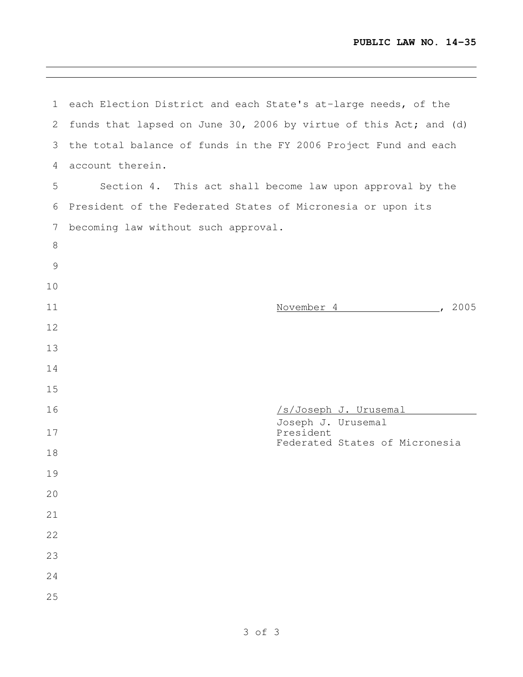<u> 1989 - Johann Stein, marwolaethau a bhann an t-Amhair an t-Amhair an t-Amhair an t-Amhair an t-Amhair an t-A</u>

| 1             | each Election District and each State's at-large needs, of the    |
|---------------|-------------------------------------------------------------------|
| $\mathbf{2}$  | funds that lapsed on June 30, 2006 by virtue of this Act; and (d) |
| 3             | the total balance of funds in the FY 2006 Project Fund and each   |
| 4             | account therein.                                                  |
| 5             | Section 4. This act shall become law upon approval by the         |
| 6             | President of the Federated States of Micronesia or upon its       |
| 7             | becoming law without such approval.                               |
| 8             |                                                                   |
| $\mathcal{G}$ |                                                                   |
| 10            |                                                                   |
| 11            | November 4 2005                                                   |
| 12            |                                                                   |
| 13            |                                                                   |
| 14            |                                                                   |
| 15            |                                                                   |
| 16            | /s/Joseph J. Urusemal<br>Joseph J. Urusemal                       |
| 17            | President<br>Federated States of Micronesia                       |
| 18            |                                                                   |
| 19            |                                                                   |
| 20            |                                                                   |
| 21            |                                                                   |
| 22            |                                                                   |
| 23            |                                                                   |
| 24            |                                                                   |
| 25            |                                                                   |